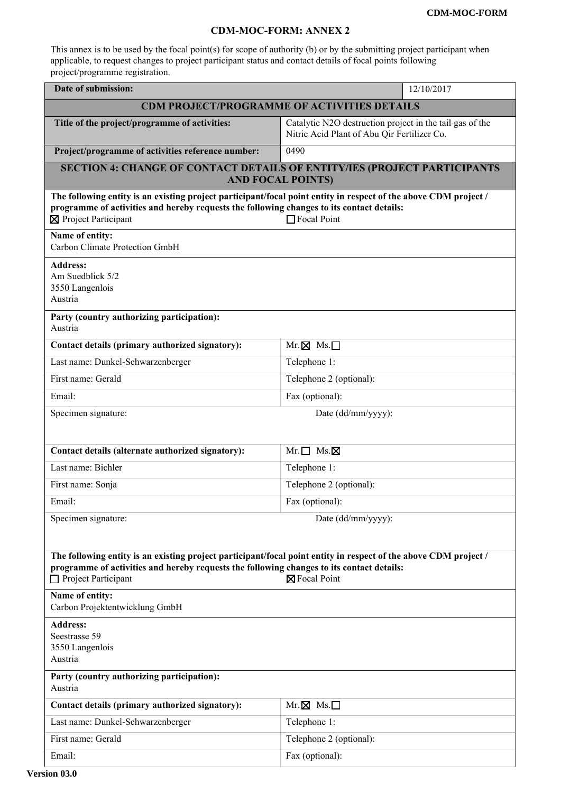## **CDM-MOC-FORM: ANNEX 2**

This annex is to be used by the focal point(s) for scope of authority (b) or by the submitting project participant when applicable, to request changes to project participant status and contact details of focal points following project/programme registration.

| Date of submission:                                                                                                                                                                                                                                          | 12/10/2017                                                                                              |
|--------------------------------------------------------------------------------------------------------------------------------------------------------------------------------------------------------------------------------------------------------------|---------------------------------------------------------------------------------------------------------|
| <b>CDM PROJECT/PROGRAMME OF ACTIVITIES DETAILS</b>                                                                                                                                                                                                           |                                                                                                         |
| Title of the project/programme of activities:                                                                                                                                                                                                                | Catalytic N2O destruction project in the tail gas of the<br>Nitric Acid Plant of Abu Qir Fertilizer Co. |
| Project/programme of activities reference number:                                                                                                                                                                                                            | 0490                                                                                                    |
| <b>SECTION 4: CHANGE OF CONTACT DETAILS OF ENTITY/IES (PROJECT PARTICIPANTS</b><br><b>AND FOCAL POINTS)</b>                                                                                                                                                  |                                                                                                         |
| The following entity is an existing project participant/focal point entity in respect of the above CDM project /<br>programme of activities and hereby requests the following changes to its contact details:<br>⊠ Project Participant                       | Focal Point                                                                                             |
| Name of entity:<br>Carbon Climate Protection GmbH                                                                                                                                                                                                            |                                                                                                         |
| <b>Address:</b><br>Am Suedblick 5/2<br>3550 Langenlois<br>Austria                                                                                                                                                                                            |                                                                                                         |
| Party (country authorizing participation):<br>Austria                                                                                                                                                                                                        |                                                                                                         |
| Contact details (primary authorized signatory):                                                                                                                                                                                                              | $Mr. \boxtimes Ms. \Box$                                                                                |
| Last name: Dunkel-Schwarzenberger                                                                                                                                                                                                                            | Telephone 1:                                                                                            |
| First name: Gerald                                                                                                                                                                                                                                           | Telephone 2 (optional):                                                                                 |
| Email:                                                                                                                                                                                                                                                       | Fax (optional):                                                                                         |
| Specimen signature:                                                                                                                                                                                                                                          | Date (dd/mm/yyyy):                                                                                      |
|                                                                                                                                                                                                                                                              |                                                                                                         |
| Contact details (alternate authorized signatory):                                                                                                                                                                                                            | $Mr.\Box$ Ms. $\boxtimes$                                                                               |
| Last name: Bichler                                                                                                                                                                                                                                           | Telephone 1:                                                                                            |
| First name: Sonja                                                                                                                                                                                                                                            | Telephone 2 (optional):                                                                                 |
| Email:                                                                                                                                                                                                                                                       | Fax (optional):                                                                                         |
| Specimen signature:                                                                                                                                                                                                                                          | Date (dd/mm/yyyy):                                                                                      |
|                                                                                                                                                                                                                                                              |                                                                                                         |
| The following entity is an existing project participant/focal point entity in respect of the above CDM project /<br>programme of activities and hereby requests the following changes to its contact details:<br>$\Box$ Project Participant<br>⊠ Focal Point |                                                                                                         |
| Name of entity:<br>Carbon Projektentwicklung GmbH                                                                                                                                                                                                            |                                                                                                         |
| <b>Address:</b><br>Seestrasse 59<br>3550 Langenlois<br>Austria                                                                                                                                                                                               |                                                                                                         |
| Party (country authorizing participation):<br>Austria                                                                                                                                                                                                        |                                                                                                         |
| Contact details (primary authorized signatory):                                                                                                                                                                                                              | $Mr. \boxtimes Ms. \Box$                                                                                |
| Last name: Dunkel-Schwarzenberger                                                                                                                                                                                                                            | Telephone 1:                                                                                            |
| First name: Gerald                                                                                                                                                                                                                                           | Telephone 2 (optional):                                                                                 |
| Email:                                                                                                                                                                                                                                                       | Fax (optional):                                                                                         |